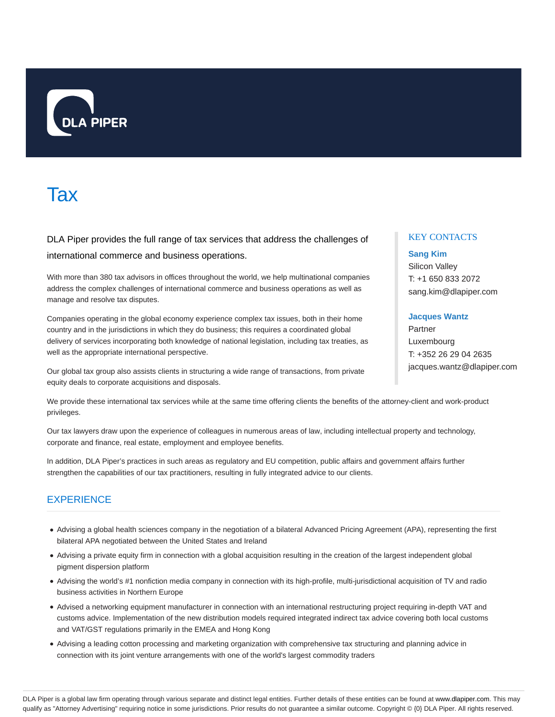

# **Tax**

DLA Piper provides the full range of tax services that address the challenges of international commerce and business operations.

With more than 380 tax advisors in offices throughout the world, we help multinational companies address the complex challenges of international commerce and business operations as well as manage and resolve tax disputes.

Companies operating in the global economy experience complex tax issues, both in their home country and in the jurisdictions in which they do business; this requires a coordinated global delivery of services incorporating both knowledge of national legislation, including tax treaties, as well as the appropriate international perspective.

Our global tax group also assists clients in structuring a wide range of transactions, from private equity deals to corporate acquisitions and disposals.

# KEY CONTACTS

# **Sang Kim** Silicon Valley

T: +1 650 833 2072 sang.kim@dlapiper.com

# **Jacques Wantz**

Partner Luxembourg T: +352 26 29 04 2635 jacques.wantz@dlapiper.com

We provide these international tax services while at the same time offering clients the benefits of the attorney-client and work-product privileges.

Our tax lawyers draw upon the experience of colleagues in numerous areas of law, including intellectual property and technology, corporate and finance, real estate, employment and employee benefits.

In addition, DLA Piper's practices in such areas as regulatory and EU competition, public affairs and government affairs further strengthen the capabilities of our tax practitioners, resulting in fully integrated advice to our clients.

# **EXPERIENCE**

- Advising a global health sciences company in the negotiation of a bilateral Advanced Pricing Agreement (APA), representing the first bilateral APA negotiated between the United States and Ireland
- Advising a private equity firm in connection with a global acquisition resulting in the creation of the largest independent global pigment dispersion platform
- Advising the world's #1 nonfiction media company in connection with its high-profile, multi-jurisdictional acquisition of TV and radio business activities in Northern Europe
- Advised a networking equipment manufacturer in connection with an international restructuring project requiring in-depth VAT and customs advice. Implementation of the new distribution models required integrated indirect tax advice covering both local customs and VAT/GST regulations primarily in the EMEA and Hong Kong
- Advising a leading cotton processing and marketing organization with comprehensive tax structuring and planning advice in connection with its joint venture arrangements with one of the world's largest commodity traders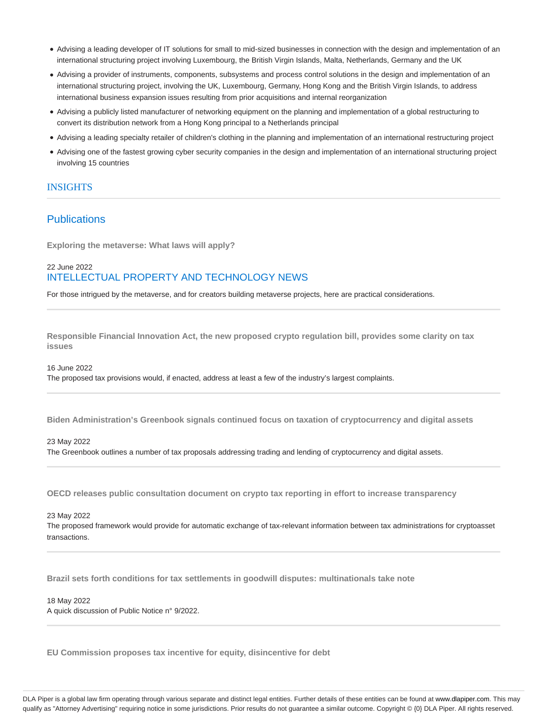- Advising a leading developer of IT solutions for small to mid-sized businesses in connection with the design and implementation of an international structuring project involving Luxembourg, the British Virgin Islands, Malta, Netherlands, Germany and the UK
- Advising a provider of instruments, components, subsystems and process control solutions in the design and implementation of an international structuring project, involving the UK, Luxembourg, Germany, Hong Kong and the British Virgin Islands, to address international business expansion issues resulting from prior acquisitions and internal reorganization
- Advising a publicly listed manufacturer of networking equipment on the planning and implementation of a global restructuring to convert its distribution network from a Hong Kong principal to a Netherlands principal
- Advising a leading specialty retailer of children's clothing in the planning and implementation of an international restructuring project
- Advising one of the fastest growing cyber security companies in the design and implementation of an international structuring project involving 15 countries

# **INSIGHTS**

# **Publications**

**Exploring the metaverse: What laws will apply?**

# 22 June 2022 INTELLECTUAL PROPERTY AND TECHNOLOGY NEWS

For those intrigued by the metaverse, and for creators building metaverse projects, here are practical considerations.

**Responsible Financial Innovation Act, the new proposed crypto regulation bill, provides some clarity on tax issues**

16 June 2022

The proposed tax provisions would, if enacted, address at least a few of the industry's largest complaints.

**Biden Administration's Greenbook signals continued focus on taxation of cryptocurrency and digital assets**

#### 23 May 2022

The Greenbook outlines a number of tax proposals addressing trading and lending of cryptocurrency and digital assets.

**OECD releases public consultation document on crypto tax reporting in effort to increase transparency**

23 May 2022

The proposed framework would provide for automatic exchange of tax-relevant information between tax administrations for cryptoasset transactions.

**Brazil sets forth conditions for tax settlements in goodwill disputes: multinationals take note**

#### 18 May 2022 A quick discussion of Public Notice n° 9/2022.

**EU Commission proposes tax incentive for equity, disincentive for debt**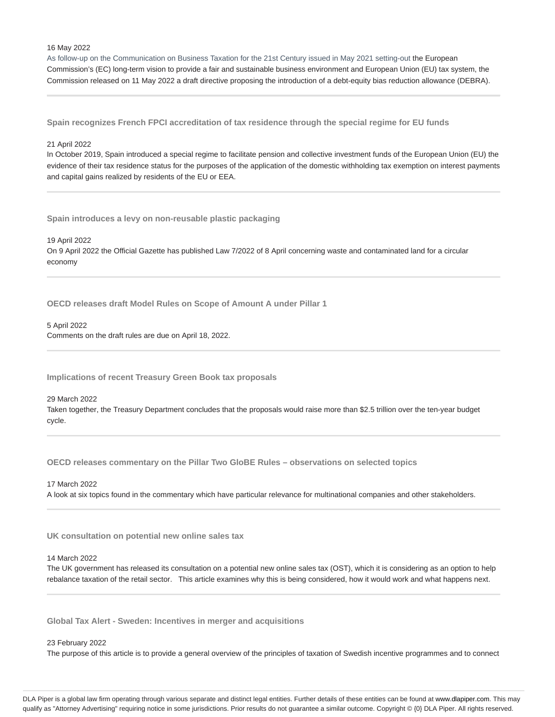16 May 2022

As follow-up on the Communication on Business Taxation for the 21st Century issued in May 2021 setting-out the European Commission's (EC) long-term vision to provide a fair and sustainable business environment and European Union (EU) tax system, the Commission released on 11 May 2022 a draft directive proposing the introduction of a debt-equity bias reduction allowance (DEBRA).

**Spain recognizes French FPCI accreditation of tax residence through the special regime for EU funds**

#### 21 April 2022

In October 2019, Spain introduced a special regime to facilitate pension and collective investment funds of the European Union (EU) the evidence of their tax residence status for the purposes of the application of the domestic withholding tax exemption on interest payments and capital gains realized by residents of the EU or EEA.

**Spain introduces a levy on non-reusable plastic packaging**

19 April 2022 On 9 April 2022 the Official Gazette has published Law 7/2022 of 8 April concerning waste and contaminated land for a circular economy

**OECD releases draft Model Rules on Scope of Amount A under Pillar 1**

5 April 2022 Comments on the draft rules are due on April 18, 2022.

**Implications of recent Treasury Green Book tax proposals**

29 March 2022 Taken together, the Treasury Department concludes that the proposals would raise more than \$2.5 trillion over the ten-year budget cycle.

**OECD releases commentary on the Pillar Two GloBE Rules – observations on selected topics**

17 March 2022 A look at six topics found in the commentary which have particular relevance for multinational companies and other stakeholders.

**UK consultation on potential new online sales tax**

### 14 March 2022

The UK government has released its consultation on a potential new online sales tax (OST), which it is considering as an option to help rebalance taxation of the retail sector. This article examines why this is being considered, how it would work and what happens next.

**Global Tax Alert - Sweden: Incentives in merger and acquisitions**

#### 23 February 2022

The purpose of this article is to provide a general overview of the principles of taxation of Swedish incentive programmes and to connect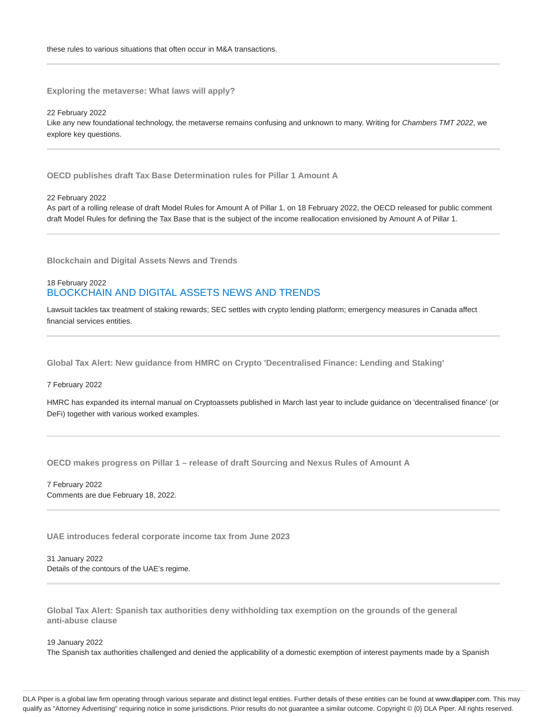**Exploring the metaverse: What laws will apply?**

22 February 2022 Like any new foundational technology, the metaverse remains confusing and unknown to many. Writing for Chambers TMT 2022, we explore key questions.

**OECD publishes draft Tax Base Determination rules for Pillar 1 Amount A**

22 February 2022

As part of a rolling release of draft Model Rules for Amount A of Pillar 1, on 18 February 2022, the OECD released for public comment draft Model Rules for defining the Tax Base that is the subject of the income reallocation envisioned by Amount A of Pillar 1.

**Blockchain and Digital Assets News and Trends**

# 18 February 2022 BLOCKCHAIN AND DIGITAL ASSETS NEWS AND TRENDS

Lawsuit tackles tax treatment of staking rewards; SEC settles with crypto lending platform; emergency measures in Canada affect financial services entities.

**Global Tax Alert: New guidance from HMRC on Crypto 'Decentralised Finance: Lending and Staking'**

#### 7 February 2022

HMRC has expanded its internal manual on Cryptoassets published in March last year to include guidance on 'decentralised finance' (or DeFi) together with various worked examples.

**OECD makes progress on Pillar 1 – release of draft Sourcing and Nexus Rules of Amount A**

7 February 2022 Comments are due February 18, 2022.

**UAE introduces federal corporate income tax from June 2023**

31 January 2022 Details of the contours of the UAE's regime.

**Global Tax Alert: Spanish tax authorities deny withholding tax exemption on the grounds of the general anti-abuse clause**

19 January 2022

The Spanish tax authorities challenged and denied the applicability of a domestic exemption of interest payments made by a Spanish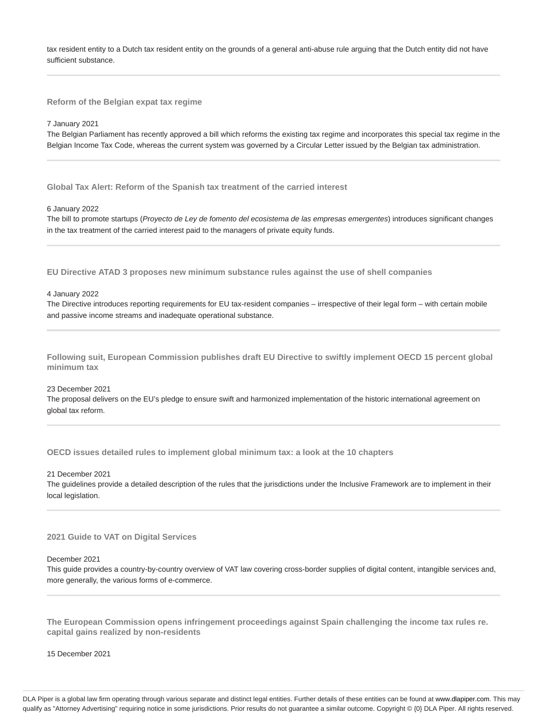tax resident entity to a Dutch tax resident entity on the grounds of a general anti-abuse rule arguing that the Dutch entity did not have sufficient substance.

**Reform of the Belgian expat tax regime**

#### 7 January 2021

The Belgian Parliament has recently approved a bill which reforms the existing tax regime and incorporates this special tax regime in the Belgian Income Tax Code, whereas the current system was governed by a Circular Letter issued by the Belgian tax administration.

**Global Tax Alert: Reform of the Spanish tax treatment of the carried interest**

#### 6 January 2022

The bill to promote startups (Proyecto de Ley de fomento del ecosistema de las empresas emergentes) introduces significant changes in the tax treatment of the carried interest paid to the managers of private equity funds.

**EU Directive ATAD 3 proposes new minimum substance rules against the use of shell companies**

#### 4 January 2022

The Directive introduces reporting requirements for EU tax-resident companies – irrespective of their legal form – with certain mobile and passive income streams and inadequate operational substance.

**Following suit, European Commission publishes draft EU Directive to swiftly implement OECD 15 percent global minimum tax**

#### 23 December 2021

The proposal delivers on the EU's pledge to ensure swift and harmonized implementation of the historic international agreement on global tax reform.

**OECD issues detailed rules to implement global minimum tax: a look at the 10 chapters**

21 December 2021

The guidelines provide a detailed description of the rules that the jurisdictions under the Inclusive Framework are to implement in their local legislation.

#### **2021 Guide to VAT on Digital Services**

#### December 2021

This guide provides a country-by-country overview of VAT law covering cross-border supplies of digital content, intangible services and, more generally, the various forms of e-commerce.

**The European Commission opens infringement proceedings against Spain challenging the income tax rules re. capital gains realized by non-residents**

15 December 2021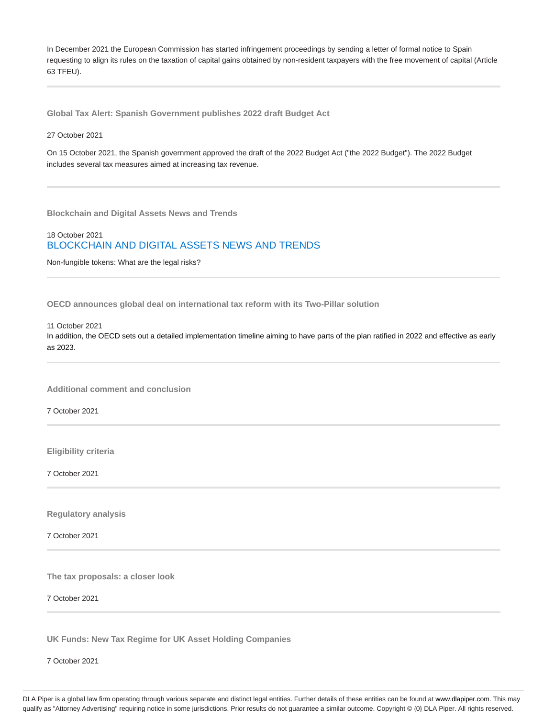In December 2021 the European Commission has started infringement proceedings by sending a letter of formal notice to Spain requesting to align its rules on the taxation of capital gains obtained by non-resident taxpayers with the free movement of capital (Article 63 TFEU).

**Global Tax Alert: Spanish Government publishes 2022 draft Budget Act**

#### 27 October 2021

On 15 October 2021, the Spanish government approved the draft of the 2022 Budget Act ("the 2022 Budget"). The 2022 Budget includes several tax measures aimed at increasing tax revenue.

**Blockchain and Digital Assets News and Trends**

# 18 October 2021 BLOCKCHAIN AND DIGITAL ASSETS NEWS AND TRENDS

Non-fungible tokens: What are the legal risks?

**OECD announces global deal on international tax reform with its Two-Pillar solution**

11 October 2021

In addition, the OECD sets out a detailed implementation timeline aiming to have parts of the plan ratified in 2022 and effective as early as 2023.

**Additional comment and conclusion**

7 October 2021

**Eligibility criteria**

7 October 2021

**Regulatory analysis**

7 October 2021

**The tax proposals: a closer look**

7 October 2021

**UK Funds: New Tax Regime for UK Asset Holding Companies**

7 October 2021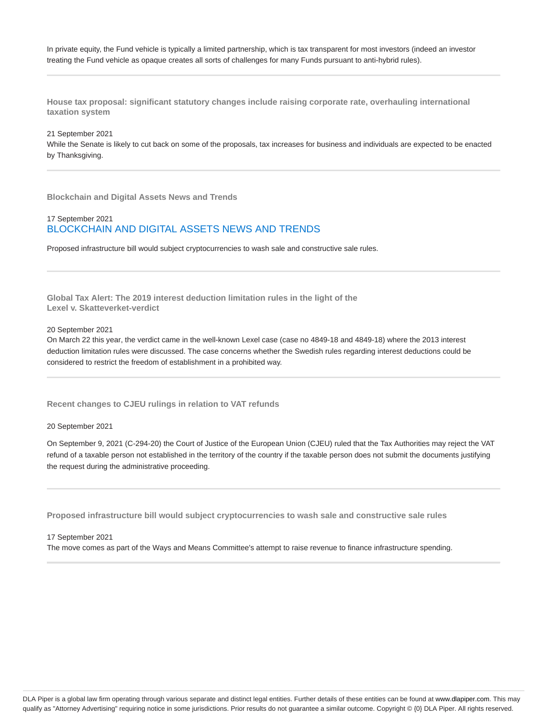In private equity, the Fund vehicle is typically a limited partnership, which is tax transparent for most investors (indeed an investor treating the Fund vehicle as opaque creates all sorts of challenges for many Funds pursuant to anti-hybrid rules).

**House tax proposal: significant statutory changes include raising corporate rate, overhauling international taxation system**

#### 21 September 2021

While the Senate is likely to cut back on some of the proposals, tax increases for business and individuals are expected to be enacted by Thanksgiving.

**Blockchain and Digital Assets News and Trends**

# 17 September 2021 BLOCKCHAIN AND DIGITAL ASSETS NEWS AND TRENDS

Proposed infrastructure bill would subject cryptocurrencies to wash sale and constructive sale rules.

**Global Tax Alert: The 2019 interest deduction limitation rules in the light of the Lexel v. Skatteverket-verdict**

#### 20 September 2021

On March 22 this year, the verdict came in the well-known Lexel case (case no 4849-18 and 4849-18) where the 2013 interest deduction limitation rules were discussed. The case concerns whether the Swedish rules regarding interest deductions could be considered to restrict the freedom of establishment in a prohibited way.

**Recent changes to CJEU rulings in relation to VAT refunds**

#### 20 September 2021

On September 9, 2021 (C-294-20) the Court of Justice of the European Union (CJEU) ruled that the Tax Authorities may reject the VAT refund of a taxable person not established in the territory of the country if the taxable person does not submit the documents justifying the request during the administrative proceeding.

**Proposed infrastructure bill would subject cryptocurrencies to wash sale and constructive sale rules**

#### 17 September 2021

The move comes as part of the Ways and Means Committee's attempt to raise revenue to finance infrastructure spending.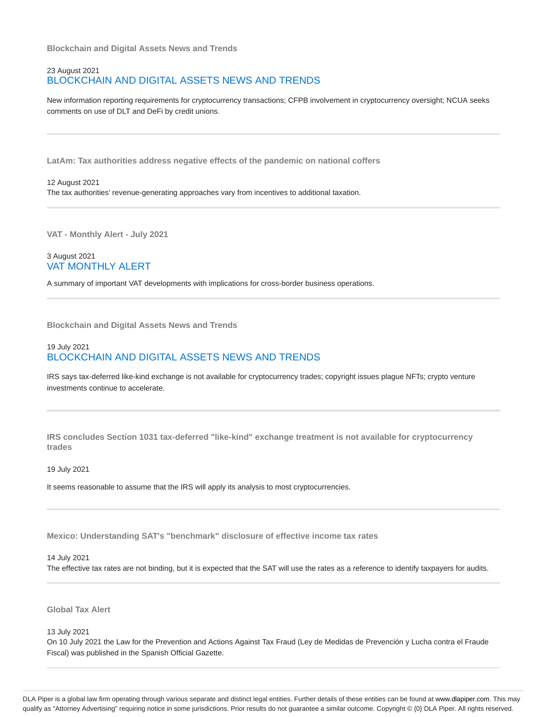**Blockchain and Digital Assets News and Trends**

# 23 August 2021 BLOCKCHAIN AND DIGITAL ASSETS NEWS AND TRENDS

New information reporting requirements for cryptocurrency transactions; CFPB involvement in cryptocurrency oversight; NCUA seeks comments on use of DLT and DeFi by credit unions.

**LatAm: Tax authorities address negative effects of the pandemic on national coffers**

12 August 2021 The tax authorities' revenue-generating approaches vary from incentives to additional taxation.

**VAT - Monthly Alert - July 2021**

3 August 2021 VAT MONTHLY ALERT

A summary of important VAT developments with implications for cross-border business operations.

**Blockchain and Digital Assets News and Trends**

# 19 July 2021 BLOCKCHAIN AND DIGITAL ASSETS NEWS AND TRENDS

IRS says tax-deferred like-kind exchange is not available for cryptocurrency trades; copyright issues plague NFTs; crypto venture investments continue to accelerate.

**IRS concludes Section 1031 tax-deferred "like-kind" exchange treatment is not available for cryptocurrency trades**

19 July 2021

It seems reasonable to assume that the IRS will apply its analysis to most cryptocurrencies.

**Mexico: Understanding SAT's "benchmark" disclosure of effective income tax rates**

#### 14 July 2021

The effective tax rates are not binding, but it is expected that the SAT will use the rates as a reference to identify taxpayers for audits.

**Global Tax Alert**

13 July 2021

On 10 July 2021 the Law for the Prevention and Actions Against Tax Fraud (Ley de Medidas de Prevención y Lucha contra el Fraude Fiscal) was published in the Spanish Official Gazette.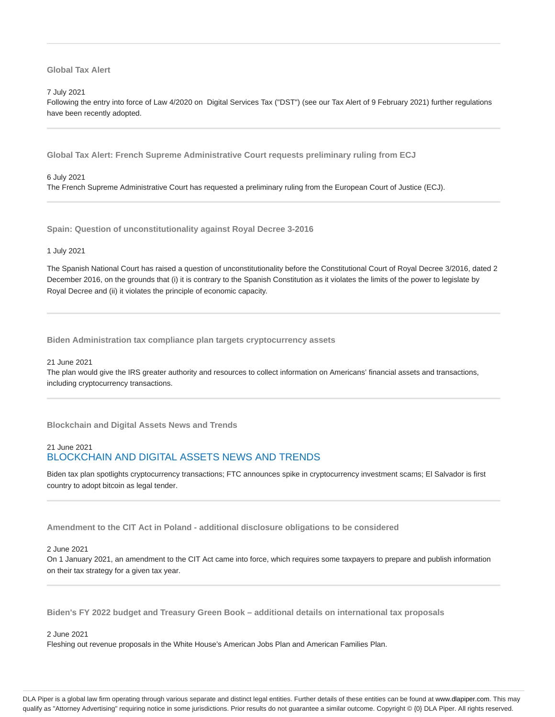### **Global Tax Alert**

#### 7 July 2021

Following the entry into force of Law 4/2020 on Digital Services Tax ("DST") (see our Tax Alert of 9 February 2021) further regulations have been recently adopted.

**Global Tax Alert: French Supreme Administrative Court requests preliminary ruling from ECJ**

#### 6 July 2021

The French Supreme Administrative Court has requested a preliminary ruling from the European Court of Justice (ECJ).

**Spain: Question of unconstitutionality against Royal Decree 3-2016**

#### 1 July 2021

The Spanish National Court has raised a question of unconstitutionality before the Constitutional Court of Royal Decree 3/2016, dated 2 December 2016, on the grounds that (i) it is contrary to the Spanish Constitution as it violates the limits of the power to legislate by Royal Decree and (ii) it violates the principle of economic capacity.

**Biden Administration tax compliance plan targets cryptocurrency assets**

#### 21 June 2021

The plan would give the IRS greater authority and resources to collect information on Americans' financial assets and transactions, including cryptocurrency transactions.

**Blockchain and Digital Assets News and Trends**

# 21 June 2021 BLOCKCHAIN AND DIGITAL ASSETS NEWS AND TRENDS

Biden tax plan spotlights cryptocurrency transactions; FTC announces spike in cryptocurrency investment scams; El Salvador is first country to adopt bitcoin as legal tender.

**Amendment to the CIT Act in Poland - additional disclosure obligations to be considered**

#### 2 June 2021

On 1 January 2021, an amendment to the CIT Act came into force, which requires some taxpayers to prepare and publish information on their tax strategy for a given tax year.

**Biden's FY 2022 budget and Treasury Green Book – additional details on international tax proposals**

# 2 June 2021

Fleshing out revenue proposals in the White House's American Jobs Plan and American Families Plan.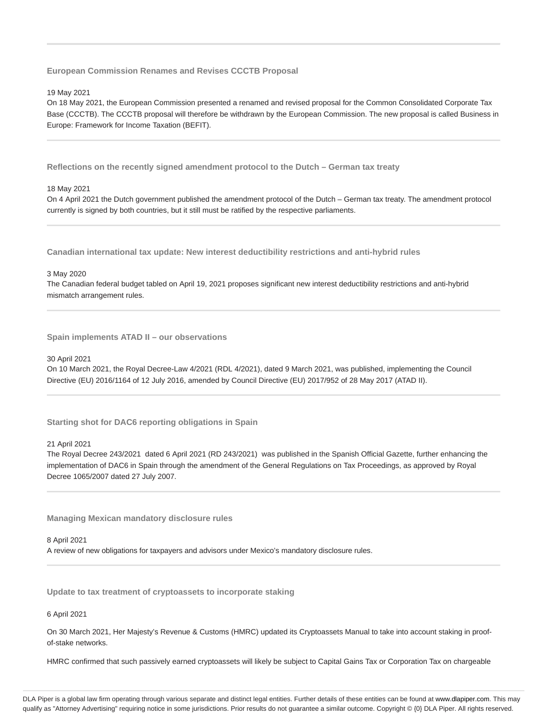**European Commission Renames and Revises CCCTB Proposal**

#### 19 May 2021

On 18 May 2021, the European Commission presented a renamed and revised proposal for the Common Consolidated Corporate Tax Base (CCCTB). The CCCTB proposal will therefore be withdrawn by the European Commission. The new proposal is called Business in Europe: Framework for Income Taxation (BEFIT).

**Reflections on the recently signed amendment protocol to the Dutch – German tax treaty**

#### 18 May 2021

On 4 April 2021 the Dutch government published the amendment protocol of the Dutch – German tax treaty. The amendment protocol currently is signed by both countries, but it still must be ratified by the respective parliaments.

**Canadian international tax update: New interest deductibility restrictions and anti-hybrid rules**

#### 3 May 2020

The Canadian federal budget tabled on April 19, 2021 proposes significant new interest deductibility restrictions and anti-hybrid mismatch arrangement rules.

**Spain implements ATAD II – our observations**

#### 30 April 2021

On 10 March 2021, the Royal Decree-Law 4/2021 (RDL 4/2021), dated 9 March 2021, was published, implementing the Council Directive (EU) 2016/1164 of 12 July 2016, amended by Council Directive (EU) 2017/952 of 28 May 2017 (ATAD II).

**Starting shot for DAC6 reporting obligations in Spain**

#### 21 April 2021

The Royal Decree 243/2021 dated 6 April 2021 (RD 243/2021) was published in the Spanish Official Gazette, further enhancing the implementation of DAC6 in Spain through the amendment of the General Regulations on Tax Proceedings, as approved by Royal Decree 1065/2007 dated 27 July 2007.

**Managing Mexican mandatory disclosure rules**

#### 8 April 2021

A review of new obligations for taxpayers and advisors under Mexico's mandatory disclosure rules.

**Update to tax treatment of cryptoassets to incorporate staking**

#### 6 April 2021

On 30 March 2021, Her Majesty's Revenue & Customs (HMRC) updated its Cryptoassets Manual to take into account staking in proofof-stake networks.

HMRC confirmed that such passively earned cryptoassets will likely be subject to Capital Gains Tax or Corporation Tax on chargeable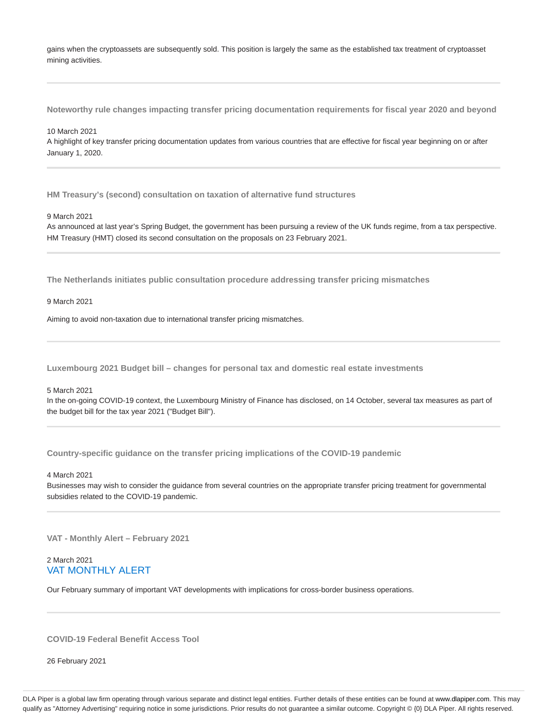gains when the cryptoassets are subsequently sold. This position is largely the same as the established tax treatment of cryptoasset mining activities.

**Noteworthy rule changes impacting transfer pricing documentation requirements for fiscal year 2020 and beyond**

#### 10 March 2021

A highlight of key transfer pricing documentation updates from various countries that are effective for fiscal year beginning on or after January 1, 2020.

**HM Treasury's (second) consultation on taxation of alternative fund structures**

#### 9 March 2021

As announced at last year's Spring Budget, the government has been pursuing a review of the UK funds regime, from a tax perspective. HM Treasury (HMT) closed its second consultation on the proposals on 23 February 2021.

**The Netherlands initiates public consultation procedure addressing transfer pricing mismatches**

9 March 2021

Aiming to avoid non-taxation due to international transfer pricing mismatches.

**Luxembourg 2021 Budget bill – changes for personal tax and domestic real estate investments**

#### 5 March 2021

In the on-going COVID-19 context, the Luxembourg Ministry of Finance has disclosed, on 14 October, several tax measures as part of the budget bill for the tax year 2021 ("Budget Bill").

**Country-specific guidance on the transfer pricing implications of the COVID-19 pandemic**

#### 4 March 2021

Businesses may wish to consider the guidance from several countries on the appropriate transfer pricing treatment for governmental subsidies related to the COVID-19 pandemic.

**VAT - Monthly Alert – February 2021**

# 2 March 2021 VAT MONTHLY ALERT

Our February summary of important VAT developments with implications for cross-border business operations.

**COVID-19 Federal Benefit Access Tool**

26 February 2021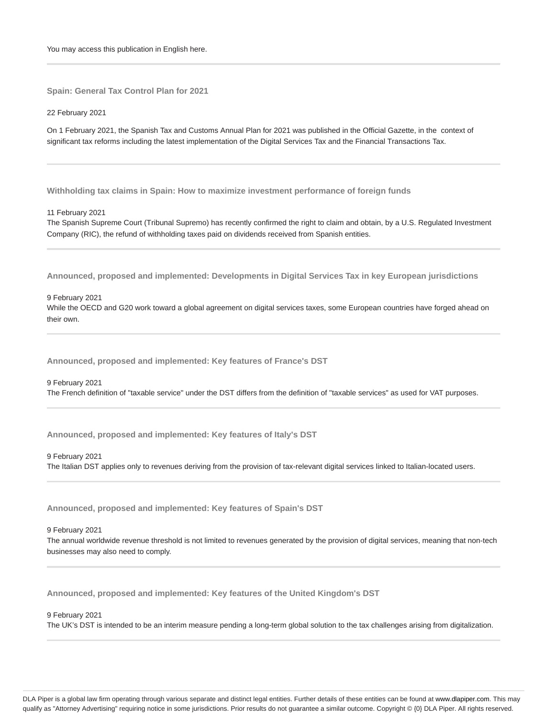**Spain: General Tax Control Plan for 2021**

22 February 2021

On 1 February 2021, the Spanish Tax and Customs Annual Plan for 2021 was published in the Official Gazette, in the context of significant tax reforms including the latest implementation of the Digital Services Tax and the Financial Transactions Tax.

**Withholding tax claims in Spain: How to maximize investment performance of foreign funds**

11 February 2021

The Spanish Supreme Court (Tribunal Supremo) has recently confirmed the right to claim and obtain, by a U.S. Regulated Investment Company (RIC), the refund of withholding taxes paid on dividends received from Spanish entities.

**Announced, proposed and implemented: Developments in Digital Services Tax in key European jurisdictions**

9 February 2021

While the OECD and G20 work toward a global agreement on digital services taxes, some European countries have forged ahead on their own.

**Announced, proposed and implemented: Key features of France's DST**

9 February 2021 The French definition of "taxable service" under the DST differs from the definition of "taxable services" as used for VAT purposes.

**Announced, proposed and implemented: Key features of Italy's DST**

9 February 2021

The Italian DST applies only to revenues deriving from the provision of tax-relevant digital services linked to Italian-located users.

**Announced, proposed and implemented: Key features of Spain's DST**

9 February 2021

The annual worldwide revenue threshold is not limited to revenues generated by the provision of digital services, meaning that non-tech businesses may also need to comply.

**Announced, proposed and implemented: Key features of the United Kingdom's DST**

9 February 2021

The UK's DST is intended to be an interim measure pending a long-term global solution to the tax challenges arising from digitalization.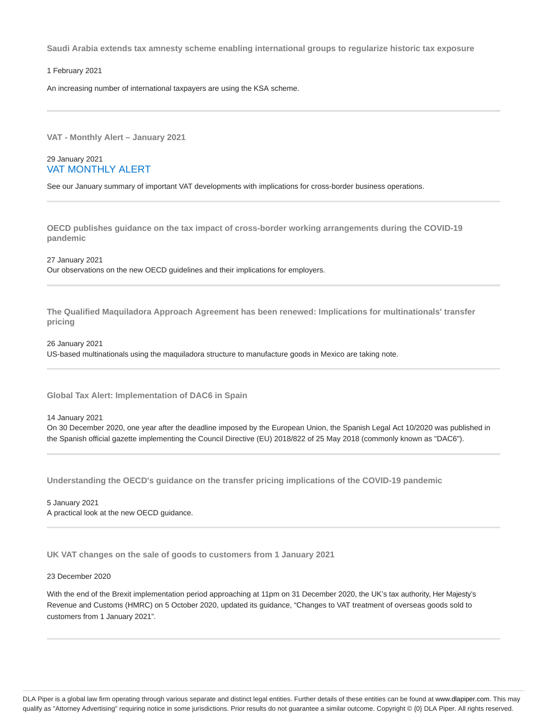**Saudi Arabia extends tax amnesty scheme enabling international groups to regularize historic tax exposure**

1 February 2021

An increasing number of international taxpayers are using the KSA scheme.

**VAT - Monthly Alert – January 2021**

### 29 January 2021 VAT MONTHLY ALERT

See our January summary of important VAT developments with implications for cross-border business operations.

**OECD publishes guidance on the tax impact of cross-border working arrangements during the COVID-19 pandemic**

27 January 2021 Our observations on the new OECD guidelines and their implications for employers.

**The Qualified Maquiladora Approach Agreement has been renewed: Implications for multinationals' transfer pricing**

26 January 2021 US-based multinationals using the maquiladora structure to manufacture goods in Mexico are taking note.

**Global Tax Alert: Implementation of DAC6 in Spain**

14 January 2021

On 30 December 2020, one year after the deadline imposed by the European Union, the Spanish Legal Act 10/2020 was published in the Spanish official gazette implementing the Council Directive (EU) 2018/822 of 25 May 2018 (commonly known as "DAC6").

**Understanding the OECD's guidance on the transfer pricing implications of the COVID-19 pandemic**

5 January 2021 A practical look at the new OECD guidance.

**UK VAT changes on the sale of goods to customers from 1 January 2021**

#### 23 December 2020

With the end of the Brexit implementation period approaching at 11pm on 31 December 2020, the UK's tax authority, Her Majesty's Revenue and Customs (HMRC) on 5 October 2020, updated its guidance, "Changes to VAT treatment of overseas goods sold to customers from 1 January 2021".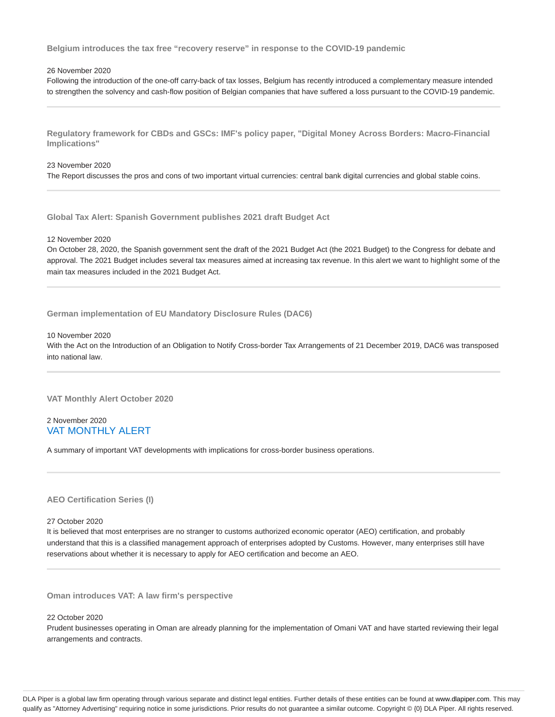**Belgium introduces the tax free "recovery reserve" in response to the COVID-19 pandemic**

#### 26 November 2020

Following the introduction of the one-off carry-back of tax losses, Belgium has recently introduced a complementary measure intended to strengthen the solvency and cash-flow position of Belgian companies that have suffered a loss pursuant to the COVID-19 pandemic.

**Regulatory framework for CBDs and GSCs: IMF's policy paper, "Digital Money Across Borders: Macro-Financial Implications"**

#### 23 November 2020

The Report discusses the pros and cons of two important virtual currencies: central bank digital currencies and global stable coins.

**Global Tax Alert: Spanish Government publishes 2021 draft Budget Act**

#### 12 November 2020

On October 28, 2020, the Spanish government sent the draft of the 2021 Budget Act (the 2021 Budget) to the Congress for debate and approval. The 2021 Budget includes several tax measures aimed at increasing tax revenue. In this alert we want to highlight some of the main tax measures included in the 2021 Budget Act.

**German implementation of EU Mandatory Disclosure Rules (DAC6)**

#### 10 November 2020

With the Act on the Introduction of an Obligation to Notify Cross-border Tax Arrangements of 21 December 2019, DAC6 was transposed into national law.

**VAT Monthly Alert October 2020**

# 2 November 2020 VAT MONTHLY ALERT

A summary of important VAT developments with implications for cross-border business operations.

### **AEO Certification Series (I)**

#### 27 October 2020

It is believed that most enterprises are no stranger to customs authorized economic operator (AEO) certification, and probably understand that this is a classified management approach of enterprises adopted by Customs. However, many enterprises still have reservations about whether it is necessary to apply for AEO certification and become an AEO.

**Oman introduces VAT: A law firm's perspective**

#### 22 October 2020

Prudent businesses operating in Oman are already planning for the implementation of Omani VAT and have started reviewing their legal arrangements and contracts.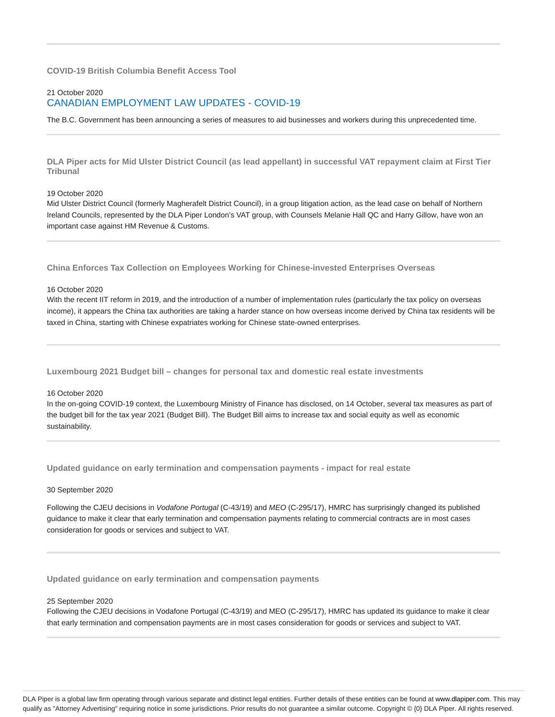### **COVID-19 British Columbia Benefit Access Tool**

# 21 October 2020 CANADIAN EMPLOYMENT LAW UPDATES - COVID-19

The B.C. Government has been announcing a series of measures to aid businesses and workers during this unprecedented time.

**DLA Piper acts for Mid Ulster District Council (as lead appellant) in successful VAT repayment claim at First Tier Tribunal**

#### 19 October 2020

Mid Ulster District Council (formerly Magherafelt District Council), in a group litigation action, as the lead case on behalf of Northern Ireland Councils, represented by the DLA Piper London's VAT group, with Counsels Melanie Hall QC and Harry Gillow, have won an important case against HM Revenue & Customs.

**China Enforces Tax Collection on Employees Working for Chinese-invested Enterprises Overseas**

#### 16 October 2020

With the recent IIT reform in 2019, and the introduction of a number of implementation rules (particularly the tax policy on overseas income), it appears the China tax authorities are taking a harder stance on how overseas income derived by China tax residents will be taxed in China, starting with Chinese expatriates working for Chinese state-owned enterprises.

**Luxembourg 2021 Budget bill – changes for personal tax and domestic real estate investments**

#### 16 October 2020

In the on-going COVID-19 context, the Luxembourg Ministry of Finance has disclosed, on 14 October, several tax measures as part of the budget bill for the tax year 2021 (Budget Bill). The Budget Bill aims to increase tax and social equity as well as economic sustainability.

**Updated guidance on early termination and compensation payments - impact for real estate**

#### 30 September 2020

Following the CJEU decisions in Vodafone Portugal (C-43/19) and MEO (C-295/17), HMRC has surprisingly changed its published guidance to make it clear that early termination and compensation payments relating to commercial contracts are in most cases consideration for goods or services and subject to VAT.

**Updated guidance on early termination and compensation payments**

#### 25 September 2020

Following the CJEU decisions in Vodafone Portugal (C-43/19) and MEO (C-295/17), HMRC has updated its guidance to make it clear that early termination and compensation payments are in most cases consideration for goods or services and subject to VAT.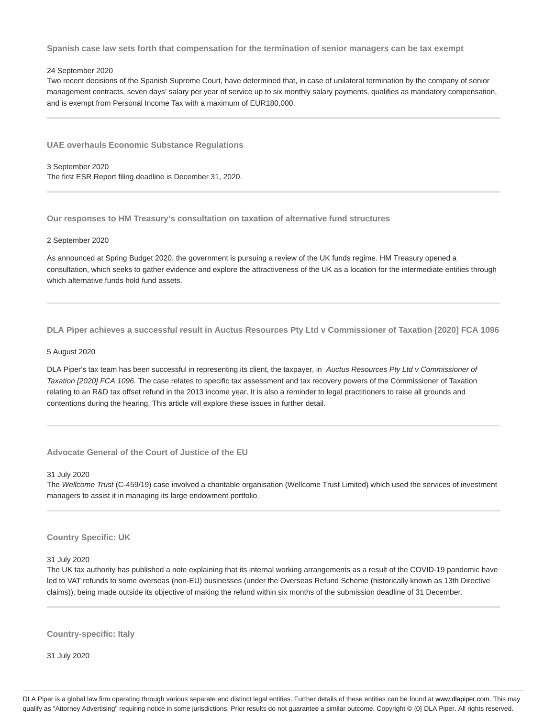**Spanish case law sets forth that compensation for the termination of senior managers can be tax exempt**

### 24 September 2020

Two recent decisions of the Spanish Supreme Court, have determined that, in case of unilateral termination by the company of senior management contracts, seven days' salary per year of service up to six monthly salary payments, qualifies as mandatory compensation, and is exempt from Personal Income Tax with a maximum of EUR180,000.

**UAE overhauls Economic Substance Regulations**

3 September 2020 The first ESR Report filing deadline is December 31, 2020.

**Our responses to HM Treasury's consultation on taxation of alternative fund structures**

#### 2 September 2020

As announced at Spring Budget 2020, the government is pursuing a review of the UK funds regime. HM Treasury opened a consultation, which seeks to gather evidence and explore the attractiveness of the UK as a location for the intermediate entities through which alternative funds hold fund assets.

**DLA Piper achieves a successful result in Auctus Resources Pty Ltd v Commissioner of Taxation [2020] FCA 1096**

#### 5 August 2020

DLA Piper's tax team has been successful in representing its client, the taxpayer, in Auctus Resources Pty Ltd v Commissioner of Taxation [2020] FCA 1096. The case relates to specific tax assessment and tax recovery powers of the Commissioner of Taxation relating to an R&D tax offset refund in the 2013 income year. It is also a reminder to legal practitioners to raise all grounds and contentions during the hearing. This article will explore these issues in further detail.

**Advocate General of the Court of Justice of the EU**

31 July 2020

The Wellcome Trust (C-459/19) case involved a charitable organisation (Wellcome Trust Limited) which used the services of investment managers to assist it in managing its large endowment portfolio.

#### **Country Specific: UK**

31 July 2020

The UK tax authority has published a note explaining that its internal working arrangements as a result of the COVID-19 pandemic have led to VAT refunds to some overseas (non-EU) businesses (under the Overseas Refund Scheme (historically known as 13th Directive claims)), being made outside its objective of making the refund within six months of the submission deadline of 31 December.

**Country-specific: Italy**

31 July 2020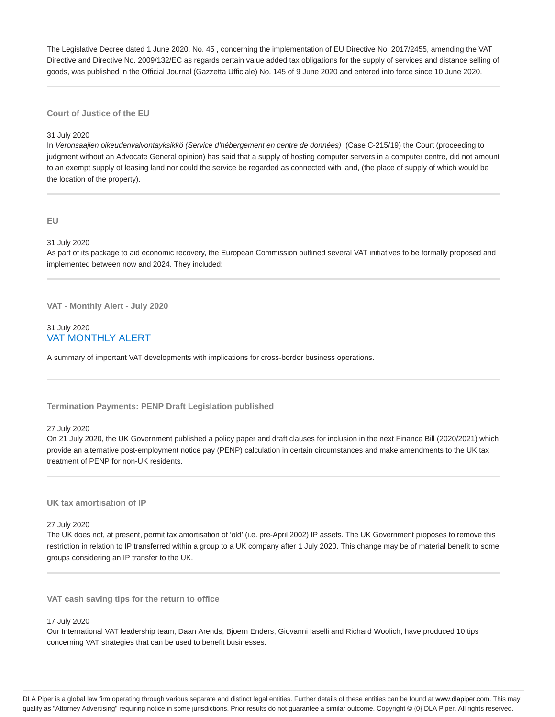The Legislative Decree dated 1 June 2020, No. 45 , concerning the implementation of EU Directive No. 2017/2455, amending the VAT Directive and Directive No. 2009/132/EC as regards certain value added tax obligations for the supply of services and distance selling of goods, was published in the Official Journal (Gazzetta Ufficiale) No. 145 of 9 June 2020 and entered into force since 10 June 2020.

#### **Court of Justice of the EU**

#### 31 July 2020

In Veronsaajien oikeudenvalvontayksikkö (Service d'hébergement en centre de données) (Case C-215/19) the Court (proceeding to judgment without an Advocate General opinion) has said that a supply of hosting computer servers in a computer centre, did not amount to an exempt supply of leasing land nor could the service be regarded as connected with land, (the place of supply of which would be the location of the property).

**EU**

31 July 2020

As part of its package to aid economic recovery, the European Commission outlined several VAT initiatives to be formally proposed and implemented between now and 2024. They included:

**VAT - Monthly Alert - July 2020**

## 31 July 2020 VAT MONTHLY ALERT

A summary of important VAT developments with implications for cross-border business operations.

#### **Termination Payments: PENP Draft Legislation published**

### 27 July 2020

On 21 July 2020, the UK Government published a policy paper and draft clauses for inclusion in the next Finance Bill (2020/2021) which provide an alternative post-employment notice pay (PENP) calculation in certain circumstances and make amendments to the UK tax treatment of PENP for non-UK residents.

### **UK tax amortisation of IP**

27 July 2020

The UK does not, at present, permit tax amortisation of 'old' (i.e. pre-April 2002) IP assets. The UK Government proposes to remove this restriction in relation to IP transferred within a group to a UK company after 1 July 2020. This change may be of material benefit to some groups considering an IP transfer to the UK.

**VAT cash saving tips for the return to office**

#### 17 July 2020

Our International VAT leadership team, Daan Arends, Bjoern Enders, Giovanni Iaselli and Richard Woolich, have produced 10 tips concerning VAT strategies that can be used to benefit businesses.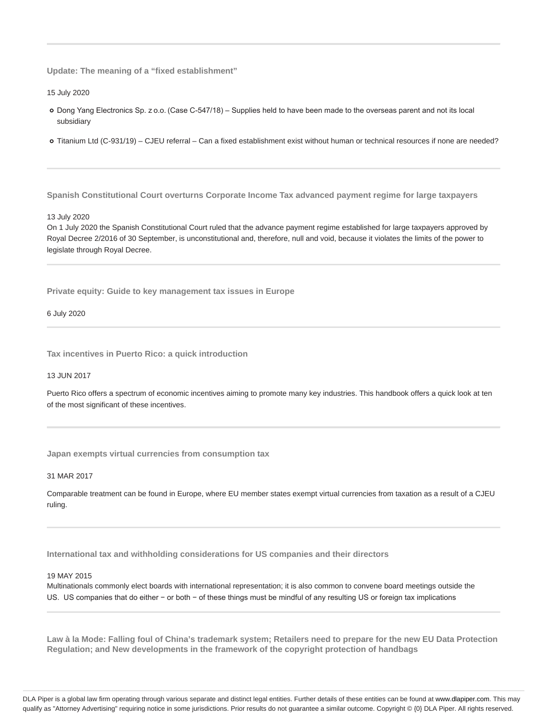**Update: The meaning of a "fixed establishment"**

15 July 2020

- Dong Yang Electronics Sp. z o.o. (Case C-547/18) Supplies held to have been made to the overseas parent and not its local subsidiary
- Titanium Ltd (C-931/19) CJEU referral Can a fixed establishment exist without human or technical resources if none are needed?

**Spanish Constitutional Court overturns Corporate Income Tax advanced payment regime for large taxpayers**

#### 13 July 2020

On 1 July 2020 the Spanish Constitutional Court ruled that the advance payment regime established for large taxpayers approved by Royal Decree 2/2016 of 30 September, is unconstitutional and, therefore, null and void, because it violates the limits of the power to legislate through Royal Decree.

**Private equity: Guide to key management tax issues in Europe**

6 July 2020

**Tax incentives in Puerto Rico: a quick introduction**

13 JUN 2017

Puerto Rico offers a spectrum of economic incentives aiming to promote many key industries. This handbook offers a quick look at ten of the most significant of these incentives.

**Japan exempts virtual currencies from consumption tax**

31 MAR 2017

Comparable treatment can be found in Europe, where EU member states exempt virtual currencies from taxation as a result of a CJEU ruling.

**International tax and withholding considerations for US companies and their directors**

#### 19 MAY 2015

Multinationals commonly elect boards with international representation; it is also common to convene board meetings outside the US. US companies that do either − or both − of these things must be mindful of any resulting US or foreign tax implications

**Law à la Mode: Falling foul of China's trademark system; Retailers need to prepare for the new EU Data Protection Regulation; and New developments in the framework of the copyright protection of handbags**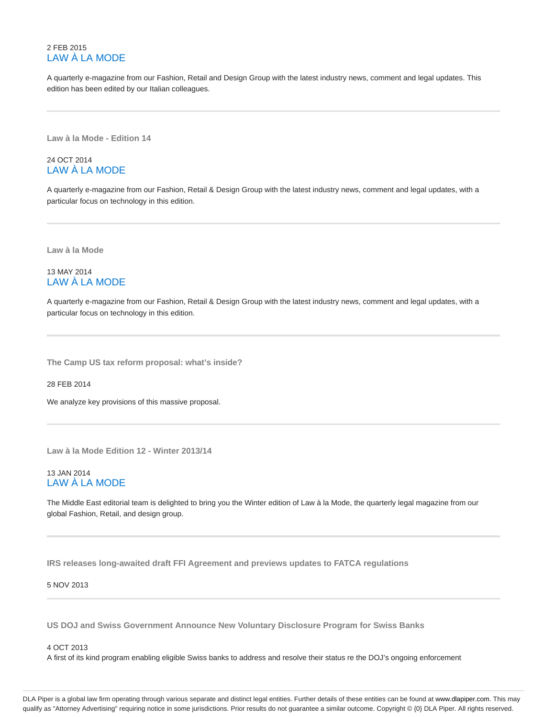# 2 FEB 2015 LAW À LA MODE

A quarterly e-magazine from our Fashion, Retail and Design Group with the latest industry news, comment and legal updates. This edition has been edited by our Italian colleagues.

**Law à la Mode - Edition 14**

# 24 OCT 2014 LAW À LA MODE

A quarterly e-magazine from our Fashion, Retail & Design Group with the latest industry news, comment and legal updates, with a particular focus on technology in this edition.

**Law à la Mode**

# 13 MAY 2014 LAW À LA MODE

A quarterly e-magazine from our Fashion, Retail & Design Group with the latest industry news, comment and legal updates, with a particular focus on technology in this edition.

**The Camp US tax reform proposal: what's inside?**

28 FEB 2014

We analyze key provisions of this massive proposal.

**Law à la Mode Edition 12 - Winter 2013/14**

# 13 JAN 2014 LAW À LA MODE

The Middle East editorial team is delighted to bring you the Winter edition of Law à la Mode, the quarterly legal magazine from our global Fashion, Retail, and design group.

**IRS releases long-awaited draft FFI Agreement and previews updates to FATCA regulations**

5 NOV 2013

**US DOJ and Swiss Government Announce New Voluntary Disclosure Program for Swiss Banks**

#### 4 OCT 2013

A first of its kind program enabling eligible Swiss banks to address and resolve their status re the DOJ's ongoing enforcement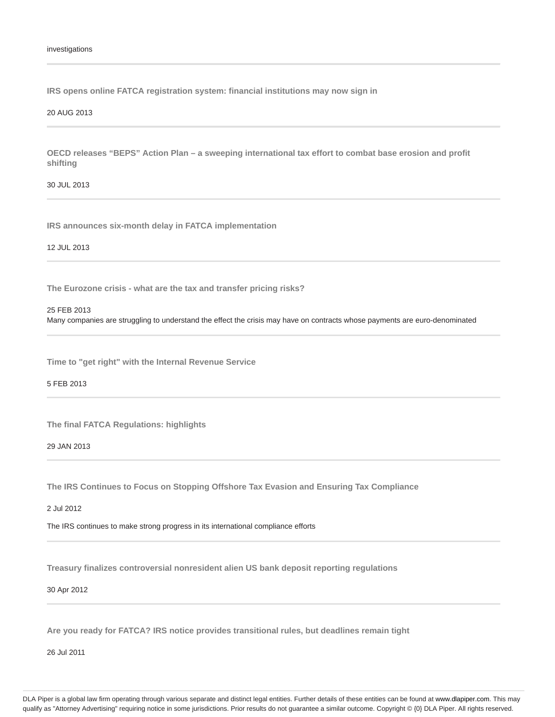**IRS opens online FATCA registration system: financial institutions may now sign in**

#### 20 AUG 2013

**OECD releases "BEPS" Action Plan – a sweeping international tax effort to combat base erosion and profit shifting**

30 JUL 2013

**IRS announces six-month delay in FATCA implementation**

12 JUL 2013

**The Eurozone crisis - what are the tax and transfer pricing risks?**

25 FEB 2013

Many companies are struggling to understand the effect the crisis may have on contracts whose payments are euro-denominated

**Time to "get right" with the Internal Revenue Service**

5 FEB 2013

**The final FATCA Regulations: highlights**

29 JAN 2013

**The IRS Continues to Focus on Stopping Offshore Tax Evasion and Ensuring Tax Compliance**

2 Jul 2012

The IRS continues to make strong progress in its international compliance efforts

**Treasury finalizes controversial nonresident alien US bank deposit reporting regulations**

30 Apr 2012

**Are you ready for FATCA? IRS notice provides transitional rules, but deadlines remain tight**

26 Jul 2011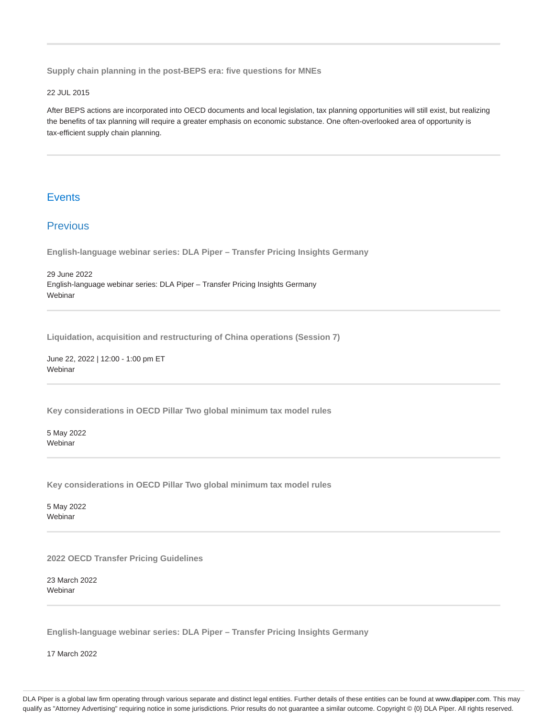**Supply chain planning in the post-BEPS era: five questions for MNEs**

#### 22 JUL 2015

After BEPS actions are incorporated into OECD documents and local legislation, tax planning opportunities will still exist, but realizing the benefits of tax planning will require a greater emphasis on economic substance. One often-overlooked area of opportunity is tax-efficient supply chain planning.

# **Events**

# **Previous**

**English-language webinar series: DLA Piper – Transfer Pricing Insights Germany**

29 June 2022 English-language webinar series: DLA Piper – Transfer Pricing Insights Germany Webinar

**Liquidation, acquisition and restructuring of China operations (Session 7)**

June 22, 2022 | 12:00 - 1:00 pm ET Webinar

**Key considerations in OECD Pillar Two global minimum tax model rules**

5 May 2022 Webinar

**Key considerations in OECD Pillar Two global minimum tax model rules**

5 May 2022 **Webinar** 

**2022 OECD Transfer Pricing Guidelines**

23 March 2022 Webinar

**English-language webinar series: DLA Piper – Transfer Pricing Insights Germany**

17 March 2022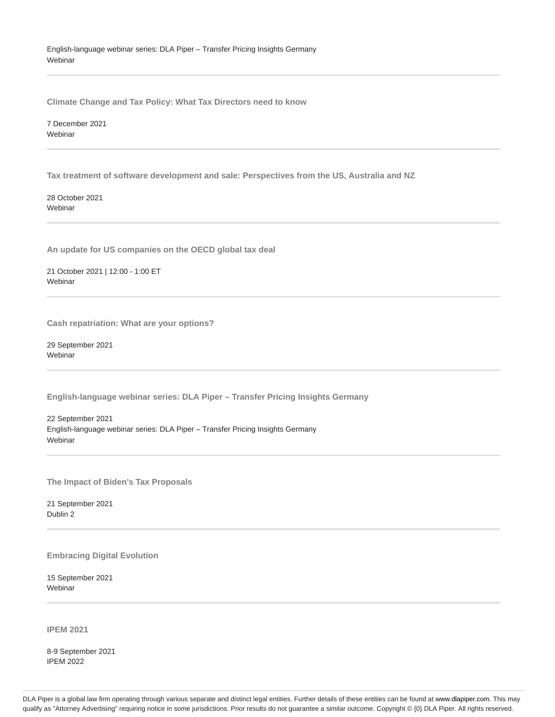English-language webinar series: DLA Piper – Transfer Pricing Insights Germany **Webinar** 

**Climate Change and Tax Policy: What Tax Directors need to know**

7 December 2021 Webinar

**Tax treatment of software development and sale: Perspectives from the US, Australia and NZ**

28 October 2021 Webinar

**An update for US companies on the OECD global tax deal**

21 October 2021 | 12:00 - 1:00 ET Webinar

**Cash repatriation: What are your options?**

29 September 2021 Webinar

**English-language webinar series: DLA Piper – Transfer Pricing Insights Germany**

22 September 2021 English-language webinar series: DLA Piper – Transfer Pricing Insights Germany Webinar

**The Impact of Biden's Tax Proposals**

21 September 2021 Dublin 2

**Embracing Digital Evolution**

15 September 2021 Webinar

**IPEM 2021**

8-9 September 2021 IPEM 2022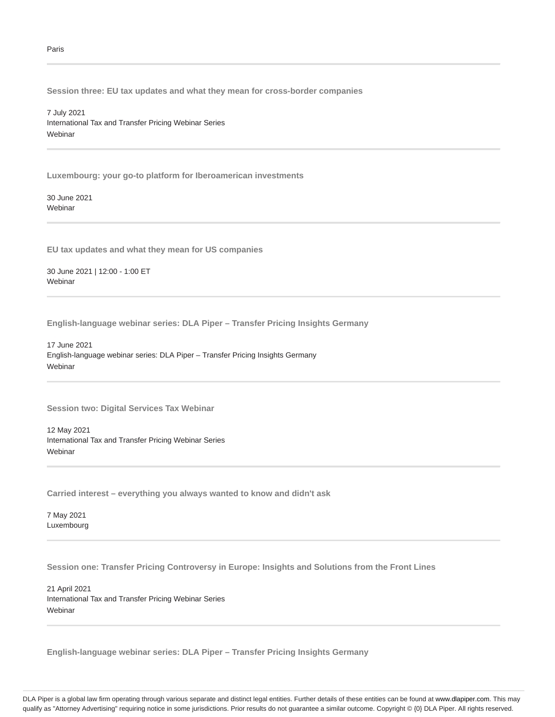**Session three: EU tax updates and what they mean for cross-border companies**

7 July 2021 International Tax and Transfer Pricing Webinar Series Webinar

**Luxembourg: your go-to platform for Iberoamerican investments**

30 June 2021 **Webinar** 

**EU tax updates and what they mean for US companies**

30 June 2021 | 12:00 - 1:00 ET **Webinar** 

**English-language webinar series: DLA Piper – Transfer Pricing Insights Germany**

17 June 2021 English-language webinar series: DLA Piper – Transfer Pricing Insights Germany **Webinar** 

**Session two: Digital Services Tax Webinar**

12 May 2021 International Tax and Transfer Pricing Webinar Series **Webinar** 

**Carried interest – everything you always wanted to know and didn't ask**

7 May 2021 Luxembourg

**Session one: Transfer Pricing Controversy in Europe: Insights and Solutions from the Front Lines**

21 April 2021 International Tax and Transfer Pricing Webinar Series Webinar

**English-language webinar series: DLA Piper – Transfer Pricing Insights Germany**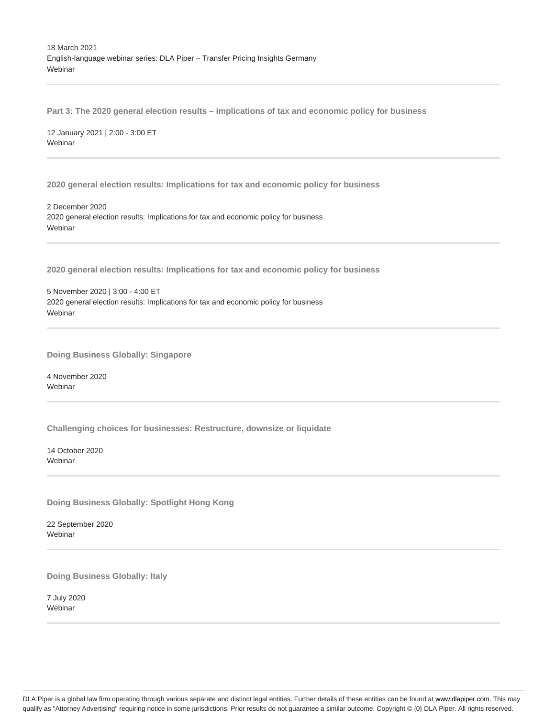18 March 2021 English-language webinar series: DLA Piper – Transfer Pricing Insights Germany **Webinar** 

**Part 3: The 2020 general election results – implications of tax and economic policy for business**

12 January 2021 | 2:00 - 3:00 ET Webinar

**2020 general election results: Implications for tax and economic policy for business**

2 December 2020 2020 general election results: Implications for tax and economic policy for business **Webinar** 

**2020 general election results: Implications for tax and economic policy for business**

5 November 2020 | 3:00 - 4:00 ET 2020 general election results: Implications for tax and economic policy for business Webinar

**Doing Business Globally: Singapore**

4 November 2020 **Webinar** 

**Challenging choices for businesses: Restructure, downsize or liquidate**

14 October 2020 Webinar

**Doing Business Globally: Spotlight Hong Kong**

22 September 2020 Webinar

**Doing Business Globally: Italy**

7 July 2020 Webinar